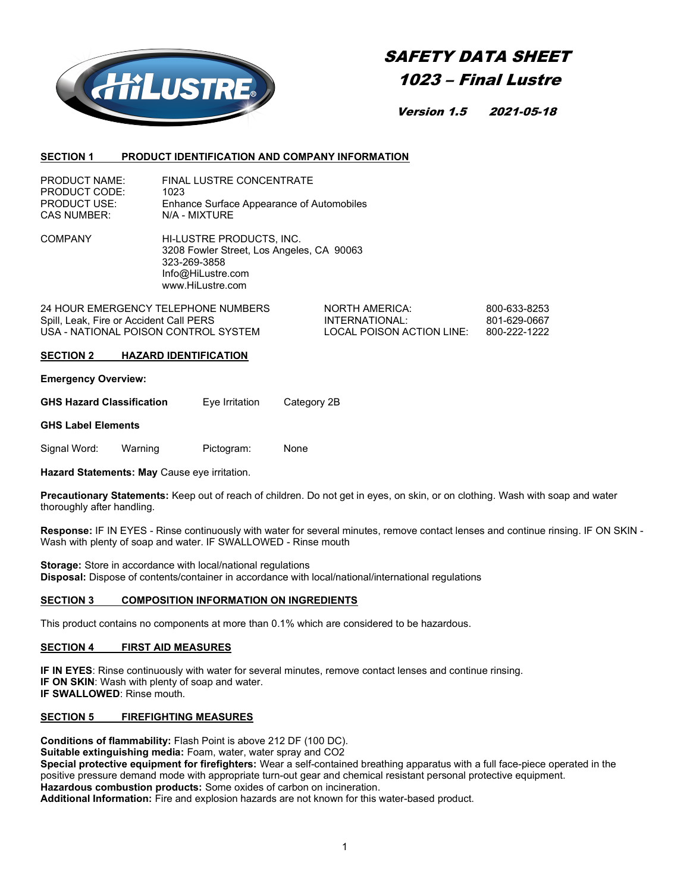

# SAFETY DATA SHEET 1023 – Final Lustre

Version 1.5 2021-05-18

#### SECTION 1 PRODUCT IDENTIFICATION AND COMPANY INFORMATION

| <b>PRODUCT NAME:</b> | <b>FINAL LUSTRE CONCENTRATE</b>           |
|----------------------|-------------------------------------------|
| PRODUCT CODE:        | 1023                                      |
| <b>PRODUCT USE:</b>  | Enhance Surface Appearance of Automobiles |
| <b>CAS NUMBER:</b>   | N/A - MIXTURE                             |

COMPANY HI-LUSTRE PRODUCTS, INC. 3208 Fowler Street, Los Angeles, CA 90063 323-269-3858 Info@HiLustre.com www.HiLustre.com

24 HOUR EMERGENCY TELEPHONE NUMBERS NORTH AMERICA: 800-633-8253 Spill, Leak, Fire or Accident Call PERS INTERNATIONAL: 801-629-0667<br>USA - NATIONAL POISON CONTROL SYSTEM LOCAL POISON ACTION LINE: 800-222-1 USA - NATIONAL POISON CONTROL SYSTEM

## SECTION 2 HAZARD IDENTIFICATION

Emergency Overview:

| <b>GHS Hazard Classification</b> | Category 2B<br>Eye Irritation |
|----------------------------------|-------------------------------|
|----------------------------------|-------------------------------|

#### GHS Label Elements

Signal Word: Warning Pictogram: None

Hazard Statements: May Cause eye irritation.

Precautionary Statements: Keep out of reach of children. Do not get in eyes, on skin, or on clothing. Wash with soap and water thoroughly after handling.

Response: IF IN EYES - Rinse continuously with water for several minutes, remove contact lenses and continue rinsing. IF ON SKIN - Wash with plenty of soap and water. IF SWALLOWED - Rinse mouth

Storage: Store in accordance with local/national regulations Disposal: Dispose of contents/container in accordance with local/national/international regulations

# SECTION 3 COMPOSITION INFORMATION ON INGREDIENTS

This product contains no components at more than 0.1% which are considered to be hazardous.

## SECTION 4 FIRST AID MEASURES

IF IN EYES: Rinse continuously with water for several minutes, remove contact lenses and continue rinsing. IF ON SKIN: Wash with plenty of soap and water. IF SWALLOWED: Rinse mouth.

## SECTION 5 FIREFIGHTING MEASURES

Conditions of flammability: Flash Point is above 212 DF (100 DC). Suitable extinguishing media: Foam, water, water spray and CO2 Special protective equipment for firefighters: Wear a self-contained breathing apparatus with a full face-piece operated in the positive pressure demand mode with appropriate turn-out gear and chemical resistant personal protective equipment. Hazardous combustion products: Some oxides of carbon on incineration.

Additional Information: Fire and explosion hazards are not known for this water-based product.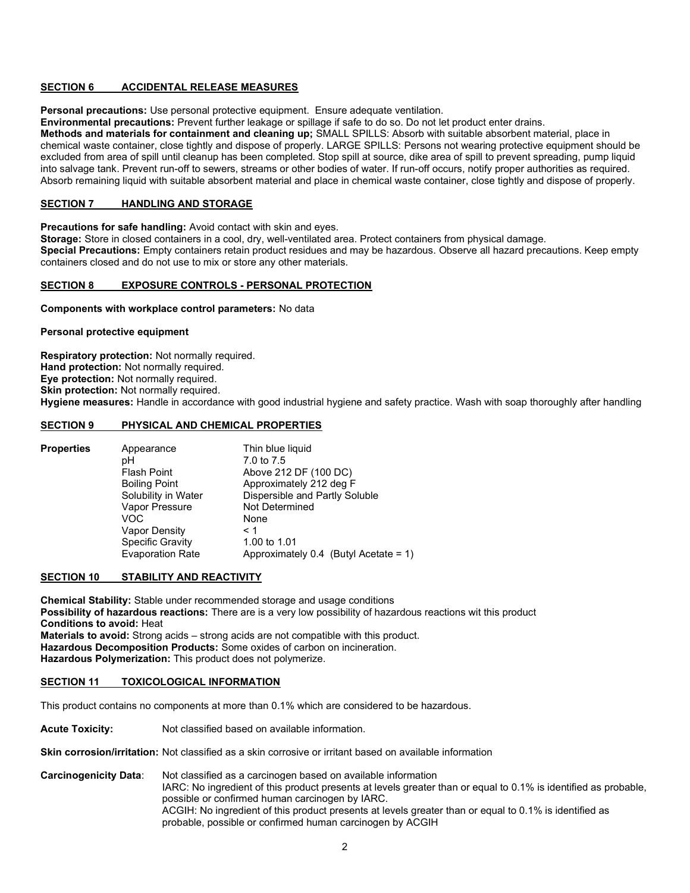## SECTION 6 ACCIDENTAL RELEASE MEASURES

Personal precautions: Use personal protective equipment. Ensure adequate ventilation.

Environmental precautions: Prevent further leakage or spillage if safe to do so. Do not let product enter drains.

Methods and materials for containment and cleaning up; SMALL SPILLS: Absorb with suitable absorbent material, place in chemical waste container, close tightly and dispose of properly. LARGE SPILLS: Persons not wearing protective equipment should be excluded from area of spill until cleanup has been completed. Stop spill at source, dike area of spill to prevent spreading, pump liquid into salvage tank. Prevent run-off to sewers, streams or other bodies of water. If run-off occurs, notify proper authorities as required. Absorb remaining liquid with suitable absorbent material and place in chemical waste container, close tightly and dispose of properly.

# SECTION 7 HANDLING AND STORAGE

Precautions for safe handling: Avoid contact with skin and eyes.

Storage: Store in closed containers in a cool, dry, well-ventilated area. Protect containers from physical damage. Special Precautions: Empty containers retain product residues and may be hazardous. Observe all hazard precautions. Keep empty containers closed and do not use to mix or store any other materials.

## SECTION 8 EXPOSURE CONTROLS - PERSONAL PROTECTION

Components with workplace control parameters: No data

#### Personal protective equipment

Respiratory protection: Not normally required. Hand protection: Not normally required. Eye protection: Not normally required. Skin protection: Not normally required. Hygiene measures: Handle in accordance with good industrial hygiene and safety practice. Wash with soap thoroughly after handling

# SECTION 9 PHYSICAL AND CHEMICAL PROPERTIES

| <b>Properties</b> | Appearance              | Thin blue liquid                         |
|-------------------|-------------------------|------------------------------------------|
|                   | рH                      | 7.0 to 7.5                               |
|                   | <b>Flash Point</b>      | Above 212 DF (100 DC)                    |
|                   | <b>Boiling Point</b>    | Approximately 212 deg F                  |
|                   | Solubility in Water     | Dispersible and Partly Soluble           |
|                   | Vapor Pressure          | Not Determined                           |
|                   | VOC                     | None                                     |
|                   | Vapor Density           | $\leq 1$                                 |
|                   | <b>Specific Gravity</b> | 1.00 to 1.01                             |
|                   | <b>Evaporation Rate</b> | Approximately 0.4 (Butyl Acetate = $1$ ) |

## SECTION 10 STABILITY AND REACTIVITY

Chemical Stability: Stable under recommended storage and usage conditions Possibility of hazardous reactions: There are is a very low possibility of hazardous reactions wit this product Conditions to avoid: Heat Materials to avoid: Strong acids – strong acids are not compatible with this product. Hazardous Decomposition Products: Some oxides of carbon on incineration. Hazardous Polymerization: This product does not polymerize.

## SECTION 11 TOXICOLOGICAL INFORMATION

This product contains no components at more than 0.1% which are considered to be hazardous.

Acute Toxicity: Not classified based on available information.

**Skin corrosion/irritation:** Not classified as a skin corrosive or irritant based on available information

Carcinogenicity Data: Not classified as a carcinogen based on available information IARC: No ingredient of this product presents at levels greater than or equal to 0.1% is identified as probable, possible or confirmed human carcinogen by IARC. ACGIH: No ingredient of this product presents at levels greater than or equal to 0.1% is identified as probable, possible or confirmed human carcinogen by ACGIH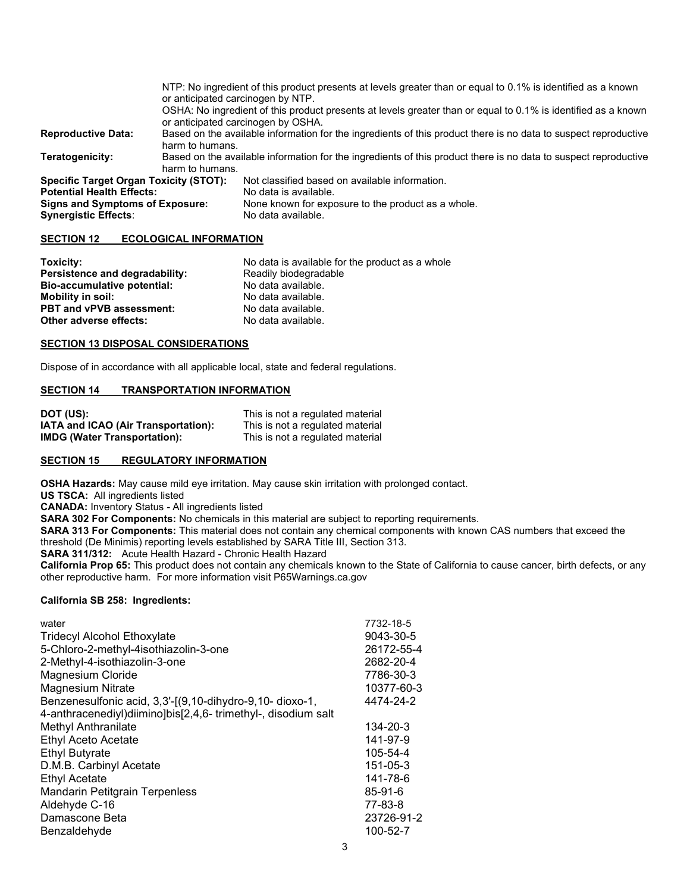| or anticipated carcinogen by NTP.                                                                                                  | NTP: No ingredient of this product presents at levels greater than or equal to 0.1% is identified as a known<br>OSHA: No ingredient of this product presents at levels greater than or equal to 0.1% is identified as a known |
|------------------------------------------------------------------------------------------------------------------------------------|-------------------------------------------------------------------------------------------------------------------------------------------------------------------------------------------------------------------------------|
|                                                                                                                                    | Based on the available information for the ingredients of this product there is no data to suspect reproductive                                                                                                               |
|                                                                                                                                    |                                                                                                                                                                                                                               |
| Based on the available information for the ingredients of this product there is no data to suspect reproductive<br>harm to humans. |                                                                                                                                                                                                                               |
|                                                                                                                                    | Not classified based on available information.                                                                                                                                                                                |
|                                                                                                                                    | No data is available.                                                                                                                                                                                                         |
| Signs and Symptoms of Exposure:                                                                                                    | None known for exposure to the product as a whole.                                                                                                                                                                            |
|                                                                                                                                    | No data available.                                                                                                                                                                                                            |
|                                                                                                                                    | or anticipated carcinogen by OSHA.<br>harm to humans.<br><b>Specific Target Organ Toxicity (STOT):</b>                                                                                                                        |

## SECTION 12 ECOLOGICAL INFORMATION

| Toxicity:                       | No data is available for the product as a whole |
|---------------------------------|-------------------------------------------------|
| Persistence and degradability:  | Readily biodegradable                           |
| Bio-accumulative potential:     | No data available.                              |
| <b>Mobility in soil:</b>        | No data available.                              |
| <b>PBT and vPVB assessment:</b> | No data available.                              |
| Other adverse effects:          | No data available.                              |

## SECTION 13 DISPOSAL CONSIDERATIONS

Dispose of in accordance with all applicable local, state and federal regulations.

# SECTION 14 TRANSPORTATION INFORMATION

| DOT (US):                           | This is not a regulated material |
|-------------------------------------|----------------------------------|
| IATA and ICAO (Air Transportation): | This is not a regulated material |
| <b>IMDG (Water Transportation):</b> | This is not a regulated material |

#### SECTION 15 REGULATORY INFORMATION

OSHA Hazards: May cause mild eye irritation. May cause skin irritation with prolonged contact.

US TSCA: All ingredients listed

CANADA: Inventory Status - All ingredients listed

SARA 302 For Components: No chemicals in this material are subject to reporting requirements.

SARA 313 For Components: This material does not contain any chemical components with known CAS numbers that exceed the threshold (De Minimis) reporting levels established by SARA Title III, Section 313.

SARA 311/312: Acute Health Hazard - Chronic Health Hazard

California Prop 65: This product does not contain any chemicals known to the State of California to cause cancer, birth defects, or any other reproductive harm. For more information visit P65Warnings.ca.gov

#### California SB 258: Ingredients:

| water<br><b>Tridecyl Alcohol Ethoxylate</b><br>5-Chloro-2-methyl-4isothiazolin-3-one<br>2-Methyl-4-isothiazolin-3-one<br><b>Magnesium Cloride</b><br><b>Magnesium Nitrate</b><br>Benzenesulfonic acid, 3,3'-[(9,10-dihydro-9,10-dioxo-1,<br>4-anthracenediyl)diimino]bis[2,4,6- trimethyl-, disodium salt | 7732-18-5<br>9043-30-5<br>26172-55-4<br>2682-20-4<br>7786-30-3<br>10377-60-3<br>4474-24-2 |
|-----------------------------------------------------------------------------------------------------------------------------------------------------------------------------------------------------------------------------------------------------------------------------------------------------------|-------------------------------------------------------------------------------------------|
| <b>Methyl Anthranilate</b>                                                                                                                                                                                                                                                                                | 134-20-3                                                                                  |
| Ethyl Aceto Acetate                                                                                                                                                                                                                                                                                       | 141-97-9                                                                                  |
| <b>Ethyl Butyrate</b>                                                                                                                                                                                                                                                                                     | 105-54-4                                                                                  |
| D.M.B. Carbinyl Acetate                                                                                                                                                                                                                                                                                   | 151-05-3                                                                                  |
| <b>Ethyl Acetate</b>                                                                                                                                                                                                                                                                                      | 141-78-6                                                                                  |
| <b>Mandarin Petitgrain Terpenless</b>                                                                                                                                                                                                                                                                     | $85 - 91 - 6$                                                                             |
| Aldehyde C-16                                                                                                                                                                                                                                                                                             | 77-83-8                                                                                   |
| Damascone Beta                                                                                                                                                                                                                                                                                            | 23726-91-2                                                                                |
| Benzaldehyde                                                                                                                                                                                                                                                                                              | 100-52-7                                                                                  |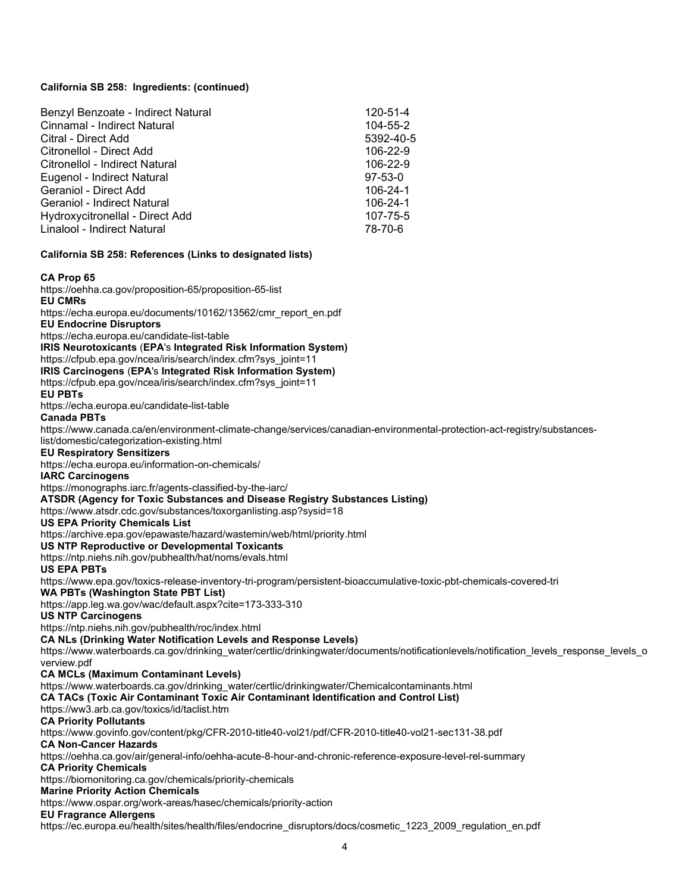# California SB 258: Ingredients: (continued)

| Benzyl Benzoate - Indirect Natural | 120-51-4      |
|------------------------------------|---------------|
| Cinnamal - Indirect Natural        | 104-55-2      |
| Citral - Direct Add                | 5392-40-5     |
| Citronellol - Direct Add           | 106-22-9      |
| Citronellol - Indirect Natural     | 106-22-9      |
| Eugenol - Indirect Natural         | $97 - 53 - 0$ |
| Geraniol - Direct Add              | 106-24-1      |
| Geraniol - Indirect Natural        | 106-24-1      |
| Hydroxycitronellal - Direct Add    | 107-75-5      |
| Linalool - Indirect Natural        | 78-70-6       |

#### California SB 258: References (Links to designated lists)

#### CA Prop 65

https://oehha.ca.gov/proposition-65/proposition-65-list EU CMRs https://echa.europa.eu/documents/10162/13562/cmr\_report\_en.pdf EU Endocrine Disruptors https://echa.europa.eu/candidate-list-table IRIS Neurotoxicants (EPA's Integrated Risk Information System) https://cfpub.epa.gov/ncea/iris/search/index.cfm?sys\_joint=11 IRIS Carcinogens (EPA's Integrated Risk Information System) https://cfpub.epa.gov/ncea/iris/search/index.cfm?sys\_joint=11 EU PBTs https://echa.europa.eu/candidate-list-table Canada PBTs https://www.canada.ca/en/environment-climate-change/services/canadian-environmental-protection-act-registry/substanceslist/domestic/categorization-existing.html EU Respiratory Sensitizers https://echa.europa.eu/information-on-chemicals/ IARC Carcinogens https://monographs.iarc.fr/agents-classified-by-the-iarc/ ATSDR (Agency for Toxic Substances and Disease Registry Substances Listing) https://www.atsdr.cdc.gov/substances/toxorganlisting.asp?sysid=18 US EPA Priority Chemicals List https://archive.epa.gov/epawaste/hazard/wastemin/web/html/priority.html US NTP Reproductive or Developmental Toxicants https://ntp.niehs.nih.gov/pubhealth/hat/noms/evals.html US EPA PBTs https://www.epa.gov/toxics-release-inventory-tri-program/persistent-bioaccumulative-toxic-pbt-chemicals-covered-tri WA PBTs (Washington State PBT List) https://app.leg.wa.gov/wac/default.aspx?cite=173-333-310 US NTP Carcinogens https://ntp.niehs.nih.gov/pubhealth/roc/index.html CA NLs (Drinking Water Notification Levels and Response Levels) https://www.waterboards.ca.gov/drinking\_water/certlic/drinkingwater/documents/notificationlevels/notification\_levels\_response\_levels\_o verview.pdf CA MCLs (Maximum Contaminant Levels) https://www.waterboards.ca.gov/drinking\_water/certlic/drinkingwater/Chemicalcontaminants.html CA TACs (Toxic Air Contaminant Toxic Air Contaminant Identification and Control List) https://ww3.arb.ca.gov/toxics/id/taclist.htm CA Priority Pollutants https://www.govinfo.gov/content/pkg/CFR-2010-title40-vol21/pdf/CFR-2010-title40-vol21-sec131-38.pdf CA Non-Cancer Hazards https://oehha.ca.gov/air/general-info/oehha-acute-8-hour-and-chronic-reference-exposure-level-rel-summary CA Priority Chemicals https://biomonitoring.ca.gov/chemicals/priority-chemicals Marine Priority Action Chemicals https://www.ospar.org/work-areas/hasec/chemicals/priority-action EU Fragrance Allergens https://ec.europa.eu/health/sites/health/files/endocrine\_disruptors/docs/cosmetic\_1223\_2009\_regulation\_en.pdf